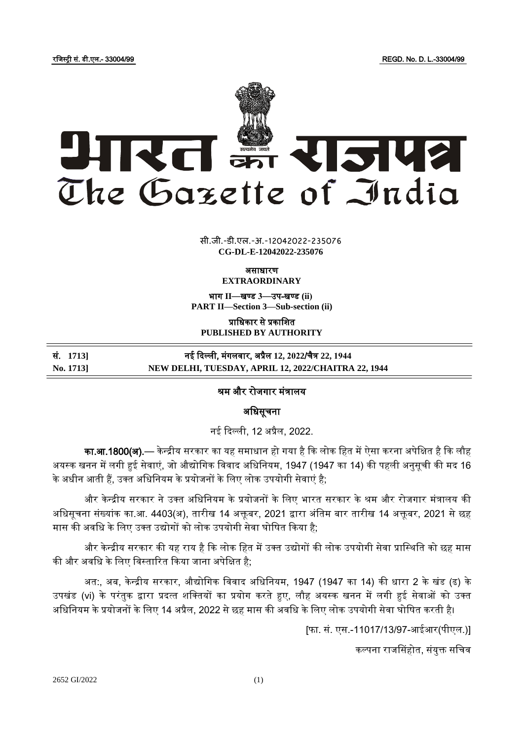रजजस्ट्री सं. डी.एल.- 33004/99 REGD. No. D. L.-33004/99



 $\frac{1}{\sqrt{2}}$   $\frac{1}{\sqrt{2}}$ सी.जी.-डी.एल.-अ.-12042022-2350<mark>7</mark>6 **CG-DL-E-12042022-235076**

असाधारण

**EXTRAORDINARY**

भाग **II**—खण् ड **3**—उप-खण् ड **(ii) PART II—Section 3—Sub-section (ii)**

प्राजधकार से प्रकाजित **PUBLISHED BY AUTHORITY**

सं. **1713]** नई ददल्ली, मंगलवार, अप्रैल **12, 2022**/चैत्र **22, 1944 No. 1713] NEW DELHI, TUESDAY, APRIL 12, 2022/CHAITRA 22, 1944**

## श्रम और रोजगार मंत्रालय

अजधसूचना

नई दिल्ली, 12 अप्रैल, 2022.

का.आ.1800(अ).— केन्द्रीय सरकार का यह समाधान हो गया है कि लोक हित में ऐसा करना अपेक्षित है कि लौह अयस्क खनन में लगी हुई सेवाएं, जो औद्योगिक विवाद अधिनियम, 1947 (1947 का 14) की पहली अनुसूची की मद 16 के अधीन आती हैं, उक्त अधिनियम के प्रयोजनों के लिए लोक उपयोगी सेवाएं है;

और केन्द्रीय सरकार ने उक्त अधिनियम के प्रयोजनों के लिए भारत सरकार के श्रम और रोजगार मंत्रालय की अधिसूचना संख्यांक का.आ. 4403(अ), तारीख 14 अक्तूबर, 2021 द्वारा अंतिम बार तारीख 14 अक्तूबर, 2021 से छह मास की अवधि के लिए उक्त उद्योगों को लोक उपयोगी सेवा घोषित किया है;

और केन्द्रीय सरकार की यह राय है कि लोक हित में उक्त उद्योगों की लोक उपयोगी सेवा प्रास्थिति को छह मास की और अवधि के लिए विस्तारित किया जाना अपेक्षित है;

अत:, अब, केन्द्रीय सरकार, औद्योगिक विवाद अधिनियम, 1947 (1947 का 14) की धारा 2 के खंड (ढ) के उपखंड (vi) के परंतुक द्वारा प्रदत्त शक्तियों का प्रयोग करते हुए, लौह अयस्क खनन में लगी हुई सेवाओं को उक्त अधिनियम के प्रयोजनों के लिए 14 अप्रैल, 2022 से छह मास की अवधि के लिए लोक उपयोगी सेवा घोषित करती है।

[फा. सं. एस.-11017/13/97-आईआर(पीएल.)]

कल्पना राजससहोत, संयुक्त सजचव